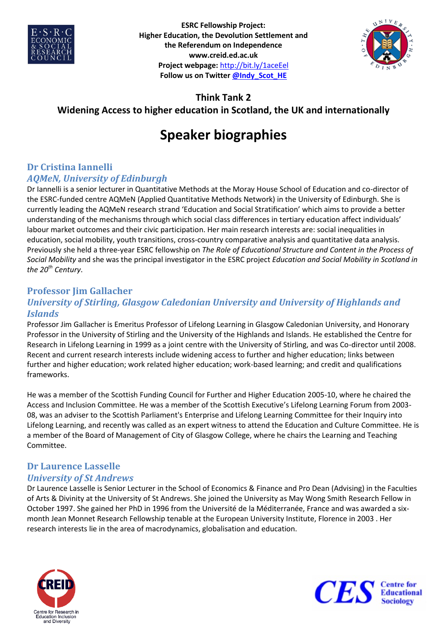



## **Think Tank 2**

# **Widening Access to higher education in Scotland, the UK and internationally**

# **Speaker biographies**

### **Dr Cristina Iannelli** *AQMeN, University of Edinburgh*

Dr Iannelli is a senior lecturer in Quantitative Methods at the Moray House School of Education and co-director of the ESRC-funded centre AQMeN (Applied Quantitative Methods Network) in the University of Edinburgh. She is currently leading the AQMeN research strand 'Education and Social Stratification' which aims to provide a better understanding of the mechanisms through which social class differences in tertiary education affect individuals' labour market outcomes and their civic participation. Her main research interests are: social inequalities in education, social mobility, youth transitions, cross-country comparative analysis and quantitative data analysis. Previously she held a three-year ESRC fellowship on *The Role of Educational Structure and Content in the Process of Social Mobility* and she was the principal investigator in the ESRC project *Education and Social Mobility in Scotland in the 20th Century*.

#### **Professor Jim Gallacher** *University of Stirling, Glasgow Caledonian University and University of Highlands and Islands*

Professor Jim Gallacher is Emeritus Professor of Lifelong Learning in Glasgow Caledonian University, and Honorary Professor in the University of Stirling and the University of the Highlands and Islands. He established the Centre for Research in Lifelong Learning in 1999 as a joint centre with the University of Stirling, and was Co-director until 2008. Recent and current research interests include widening access to further and higher education; links between further and higher education; work related higher education; work-based learning; and credit and qualifications frameworks.

He was a member of the Scottish Funding Council for Further and Higher Education 2005-10, where he chaired the Access and Inclusion Committee. He was a member of the Scottish Executive's Lifelong Learning Forum from 2003- 08, was an adviser to the Scottish Parliament's Enterprise and Lifelong Learning Committee for their Inquiry into Lifelong Learning, and recently was called as an expert witness to attend the Education and Culture Committee. He is a member of the Board of Management of City of Glasgow College, where he chairs the Learning and Teaching Committee.

# **Dr Laurence Lasselle**

## *University of St Andrews*

Dr Laurence Lasselle is Senior Lecturer in the School of Economics & Finance and Pro Dean (Advising) in the Faculties of Arts & Divinity at the University of St Andrews. She joined the University as May Wong Smith Research Fellow in October 1997. She gained her PhD in 1996 from the Université de la Méditerranée, France and was awarded a sixmonth Jean Monnet Research Fellowship tenable at the European University Institute, Florence in 2003 . Her research interests lie in the area of macrodynamics, globalisation and education.